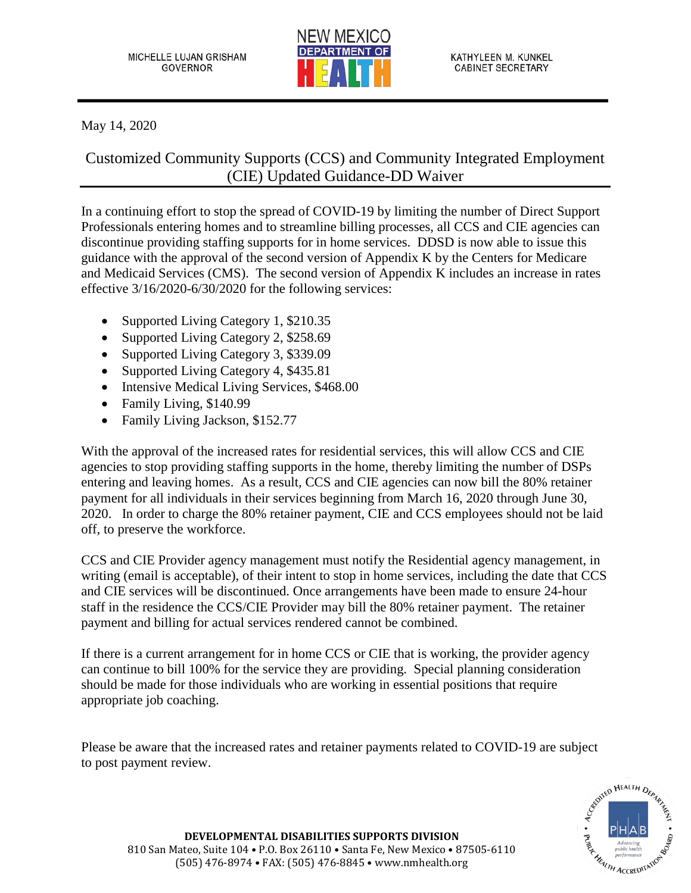

May 14, 2020

Customized Community Supports (CCS) and Community Integrated Employment (CIE) Updated Guidance-DD Waiver

In a continuing effort to stop the spread of COVID-19 by limiting the number of Direct Support Professionals entering homes and to streamline billing processes, all CCS and CIE agencies can discontinue providing staffing supports for in home services. DDSD is now able to issue this guidance with the approval of the second version of Appendix K by the Centers for Medicare and Medicaid Services (CMS). The second version of Appendix K includes an increase in rates effective 3/16/2020-6/30/2020 for the following services:

- Supported Living Category 1, \$210.35
- Supported Living Category 2, \$258.69
- Supported Living Category 3, \$339.09
- Supported Living Category 4, \$435.81
- Intensive Medical Living Services, \$468.00
- Family Living, \$140.99
- Family Living Jackson, \$152.77

With the approval of the increased rates for residential services, this will allow CCS and CIE agencies to stop providing staffing supports in the home, thereby limiting the number of DSPs entering and leaving homes. As a result, CCS and CIE agencies can now bill the 80% retainer payment for all individuals in their services beginning from March 16, 2020 through June 30, 2020. In order to charge the 80% retainer payment, CIE and CCS employees should not be laid off, to preserve the workforce.

CCS and CIE Provider agency management must notify the Residential agency management, in writing (email is acceptable), of their intent to stop in home services, including the date that CCS and CIE services will be discontinued. Once arrangements have been made to ensure 24-hour staff in the residence the CCS/CIE Provider may bill the 80% retainer payment. The retainer payment and billing for actual services rendered cannot be combined.

If there is a current arrangement for in home CCS or CIE that is working, the provider agency can continue to bill 100% for the service they are providing. Special planning consideration should be made for those individuals who are working in essential positions that require appropriate job coaching.

Please be aware that the increased rates and retainer payments related to COVID-19 are subject to post payment review.



**DEVELOPMENTAL DISABILITIES SUPPORTS DIVISION** 810 San Mateo, Suite 104 • P.O. Box 26110 • Santa Fe, New Mexico • 87505-6110 (505) 476-8974 • FAX: (505) 476-8845 • www.nmhealth.org